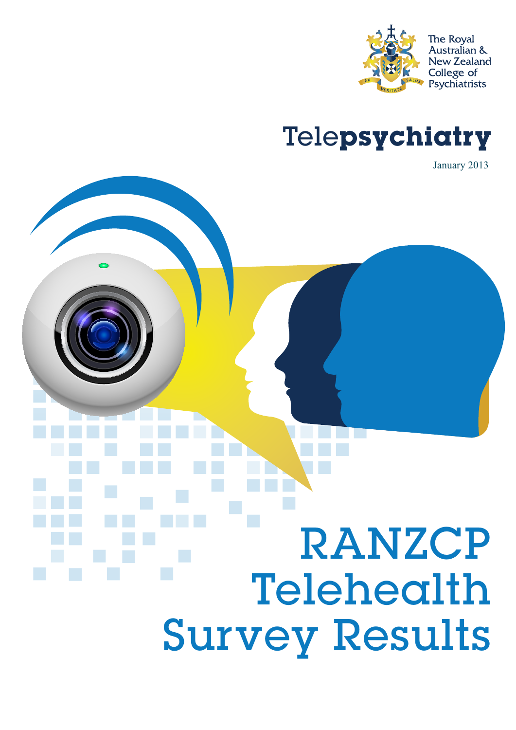

### Telepsychiatry

January 2013

# RANZCP Telehealth Survey Results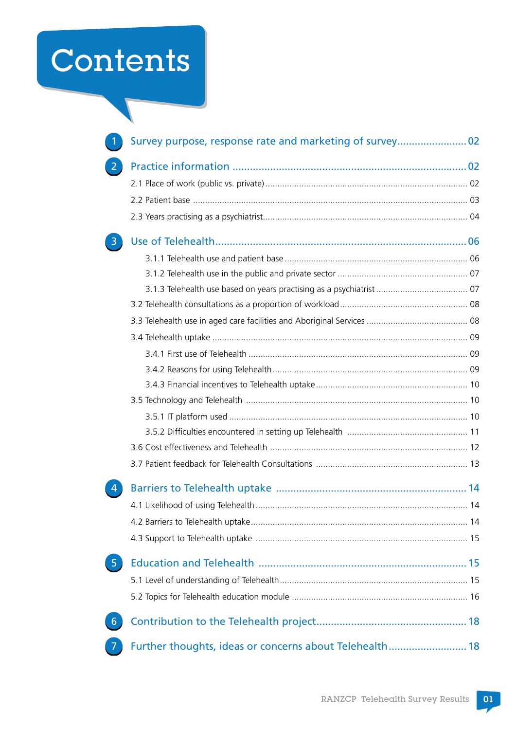## Contents

|                | Survey purpose, response rate and marketing of survey 02 |  |
|----------------|----------------------------------------------------------|--|
| $\overline{2}$ |                                                          |  |
|                |                                                          |  |
|                |                                                          |  |
|                |                                                          |  |
|                |                                                          |  |
|                |                                                          |  |
|                |                                                          |  |
|                |                                                          |  |
|                |                                                          |  |
|                |                                                          |  |
|                |                                                          |  |
|                |                                                          |  |
|                |                                                          |  |
|                |                                                          |  |
|                |                                                          |  |
|                |                                                          |  |
|                |                                                          |  |
|                |                                                          |  |
|                |                                                          |  |
|                |                                                          |  |
|                |                                                          |  |
|                |                                                          |  |
|                |                                                          |  |
| $\sqrt{5}$     |                                                          |  |
|                |                                                          |  |
|                |                                                          |  |
| 6              |                                                          |  |
|                | Further thoughts, ideas or concerns about Telehealth 18  |  |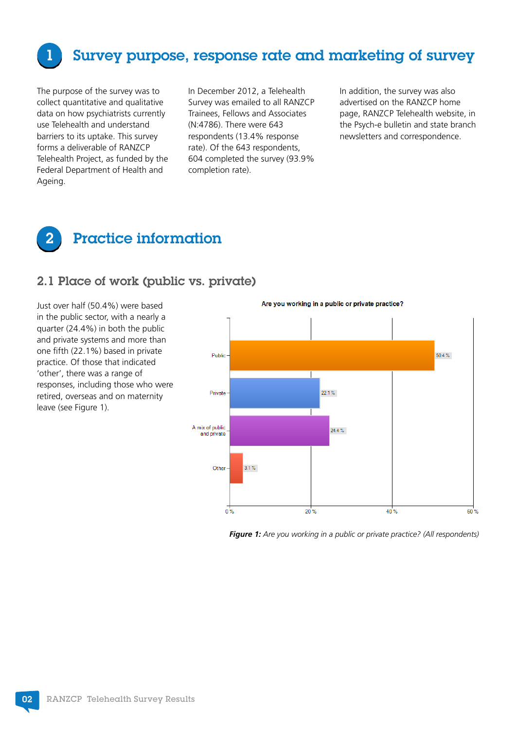<span id="page-3-0"></span>

#### Survey purpose, response rate and marketing of survey

The purpose of the survey was to collect quantitative and qualitative data on how psychiatrists currently use Telehealth and understand barriers to its uptake. This survey forms a deliverable of RANZCP Telehealth Project, as funded by the Federal Department of Health and Ageing.

In December 2012, a Telehealth Survey was emailed to all RANZCP Trainees, Fellows and Associates (N:4786). There were 643 respondents (13.4% response rate). Of the 643 respondents, 604 completed the survey (93.9% completion rate).

In addition, the survey was also advertised on the RANZCP home page, RANZCP Telehealth website, in the Psych-e bulletin and state branch newsletters and correspondence.



#### 2.1 Place of work (public vs. private)

Just over half (50.4%) were based in the public sector, with a nearly a quarter (24.4%) in both the public and private systems and more than one fifth (22.1%) based in private practice. Of those that indicated 'other', there was a range of responses, including those who were retired, overseas and on maternity leave (see Figure 1).

Are you working in a public or private practice?  $50.4 \%$ Public  $22.1%$ Private A mix of public  $244%$ and private Other  $3.1%$  $20%$  $40^{12}$ 60%  $\overline{0}$ 

*Figure 1: Are you working in a public or private practice? (All respondents)*

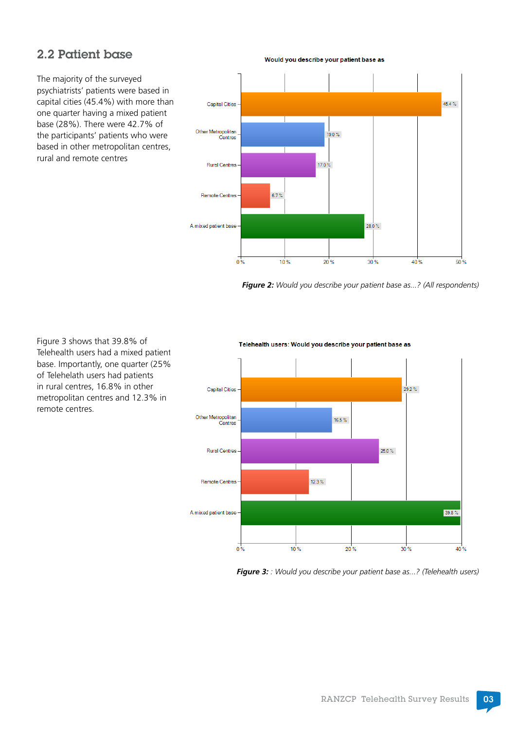#### <span id="page-4-0"></span>2.2 Patient base

The majority of the surveyed psychiatrists' patients were based in capital cities (45.4%) with more than one quarter having a mixed patient base (28%). There were 42.7% of the participants' patients who were based in other metropolitan centres, rural and remote centres

 $45.4 \%$ Capital Cities Other Metropolitan  $19.0%$ Centres  $17.0%$ **Rural Centres** Remote Centres  $6.7%$  $28.0\%$ A mixed patient base  $0<sup>2</sup>$  $10^{12}$  $30%$  $40\%$  $50%$  $20%$ 

Would you describe your patient base as

*Figure 2: Would you describe your patient base as...? (All respondents)*

Figure 3 shows that 39.8% of Telehealth users had a mixed patient base. Importantly, one quarter (25%) of Telehelath users had patients in rural centres, 16.8% in other metropolitan centres and 12.3% in remote centres.

#### Telehealth users: Would you describe your patient base as



*Figure 3: : Would you describe your patient base as...? (Telehealth users)*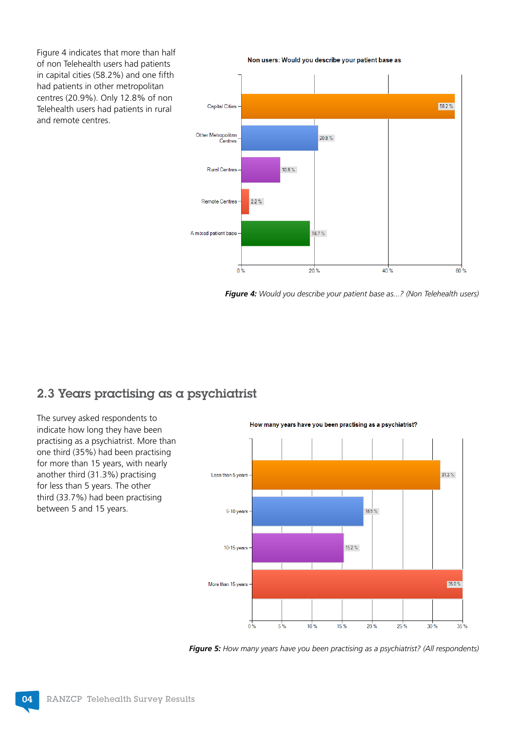<span id="page-5-0"></span>Figure 4 indicates that more than half of non Telehealth users had patients in capital cities (58.2%) and one fifth had patients in other metropolitan centres (20.9%). Only 12.8% of non Telehealth users had patients in rural and remote centres.

Non users: Would you describe your patient base as



*Figure 4: Would you describe your patient base as...? (Non Telehealth users)*

#### 2.3 Years practising as a psychiatrist

The survey asked respondents to How many years have you been practising as a psychiatrist? indicate how long they have been practising as a psychiatrist. More than one third (35%) had been practising for more than 15 years, with nearly another third (31.3%) practising Less than 5 years 31.3% for less than 5 years. The other third (33.7%) had been practising between 5 and 15 years. 5-10 years  $18.5\%$ 10-15 years  $15.2\%$ More than 15 years 35.0 %  $0\%$  $5%$  $10<sup>9</sup>$  $15%$  $20%$  $25<sup>9</sup>$ 30%  $35%$ 

*Figure 5: How many years have you been practising as a psychiatrist? (All respondents)*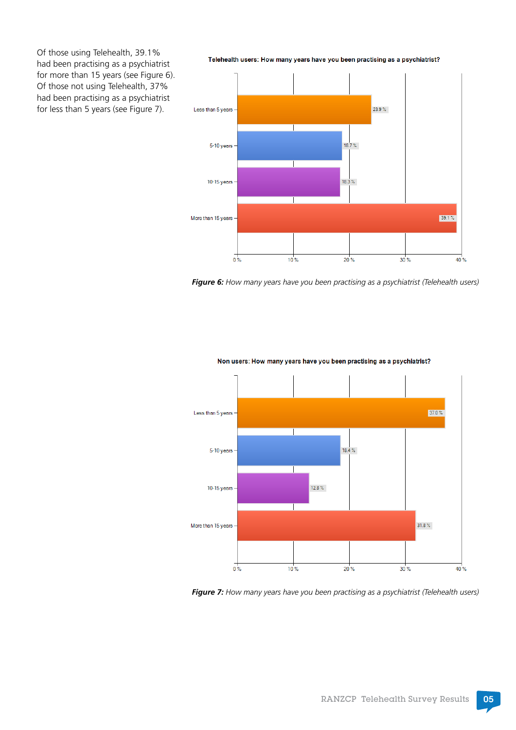Of those using Telehealth, 39.1% had been practising as a psychiatrist for more than 15 years (see Figure 6). Of those not using Telehealth, 37% had been practising as a psychiatrist for less than 5 years (see Figure 7).

Telehealth users: How many years have you been practising as a psychiatrist? 23.9% Less than 5 years  $18.7%$ 5-10 years 10-15 years - $18.3%$  $39.1%$ More than 15 years - $0\%$  $10.25$  $20%$  $30%$  $40%$ 

*Figure 6: How many years have you been practising as a psychiatrist (Telehealth users)*



Non users: How many years have you been practising as a psychiatrist?

*Figure 7: How many years have you been practising as a psychiatrist (Telehealth users)*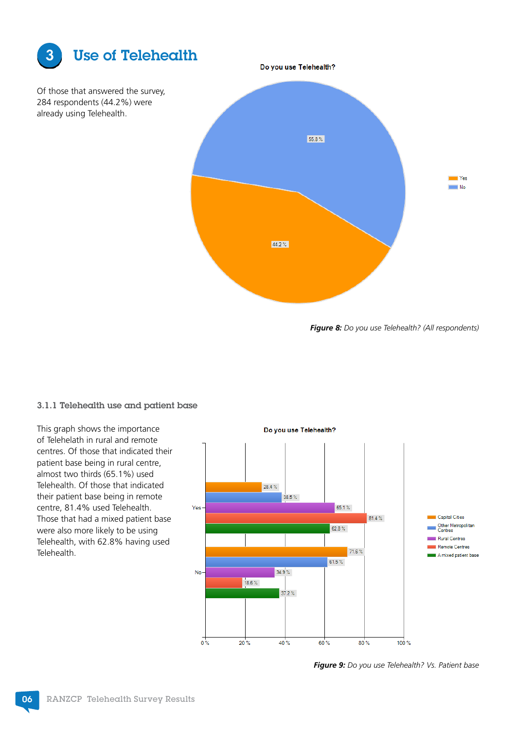<span id="page-7-0"></span>

Of those that answered the survey, 284 respondents (44.2%) were already using Telehealth.



*Figure 8: Do you use Telehealth? (All respondents)*

#### 3.1.1 Telehealth use and patient base

This graph shows the importance of Telehelath in rural and remote centres. Of those that indicated their patient base being in rural centre, almost two thirds (65.1%) used Telehealth. Of those that indicated their patient base being in remote centre, 81.4% used Telehealth. Those that had a mixed patient base were also more likely to be using Telehealth, with 62.8% having used Telehealth.



*Figure 9: Do you use Telehealth? Vs. Patient base*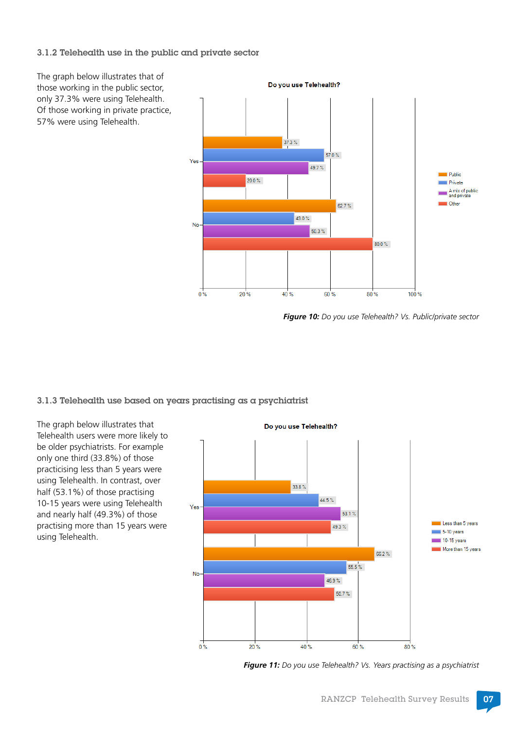#### <span id="page-8-0"></span>3.1.2 Telehealth use in the public and private sector



*Figure 10: Do you use Telehealth? Vs. Public/private sector*

3.1.3 Telehealth use based on years practising as a psychiatrist

The graph below illustrates that Telehealth users were more likely to be older psychiatrists. For example only one third (33.8%) of those practicising less than 5 years were using Telehealth. In contrast, over half (53.1%) of those practising 10-15 years were using Telehealth and nearly half (49.3%) of those practising more than 15 years were using Telehealth.



*Figure 11: Do you use Telehealth? Vs. Years practising as a psychiatrist*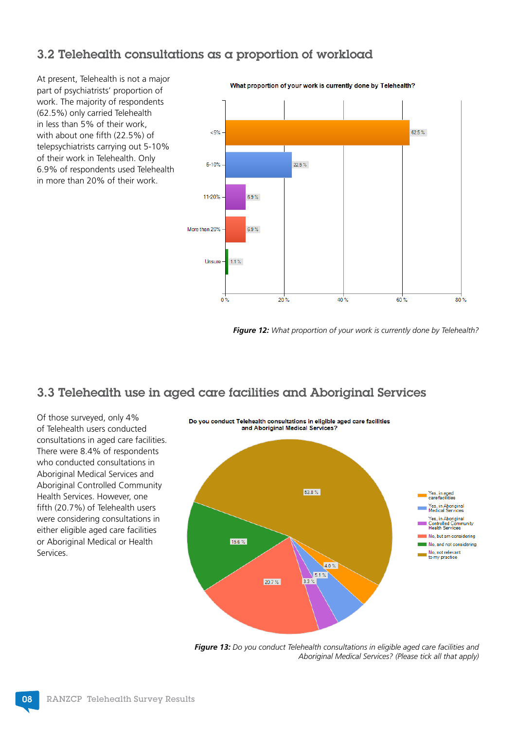#### <span id="page-9-0"></span>3.2 Telehealth consultations as a proportion of workload

At present, Telehealth is not a major part of psychiatrists' proportion of work. The majority of respondents (62.5%) only carried Telehealth in less than 5% of their work, with about one fifth (22.5%) of telepsychiatrists carrying out 5-10% of their work in Telehealth. Only 6.9% of respondents used Telehealth in more than 20% of their work.

What proportion of your work is currently done by Telehealth?  $5%$ 62.5  $%$  $22.5 \%$ 5-10% 11-20%  $6.9 \%$ More than 20%  $6.9 \%$  $1.1%$ Unsure  $0.36$  $20<sup>9</sup>$ 40% 60%  $80<sup>2</sup>$ 

*Figure 12: What proportion of your work is currently done by Telehealth?*

#### 3.3 Telehealth use in aged care facilities and Aboriginal Services

Of those surveyed, only 4% of Telehealth users conducted consultations in aged care facilities. There were 8.4% of respondents who conducted consultations in Aboriginal Medical Services and Aboriginal Controlled Community Health Services. However, one fifth (20.7%) of Telehealth users were considering consultations in either eligible aged care facilities or Aboriginal Medical or Health Services.



*Figure 13: Do you conduct Telehealth consultations in eligible aged care facilities and Aboriginal Medical Services? (Please tick all that apply)*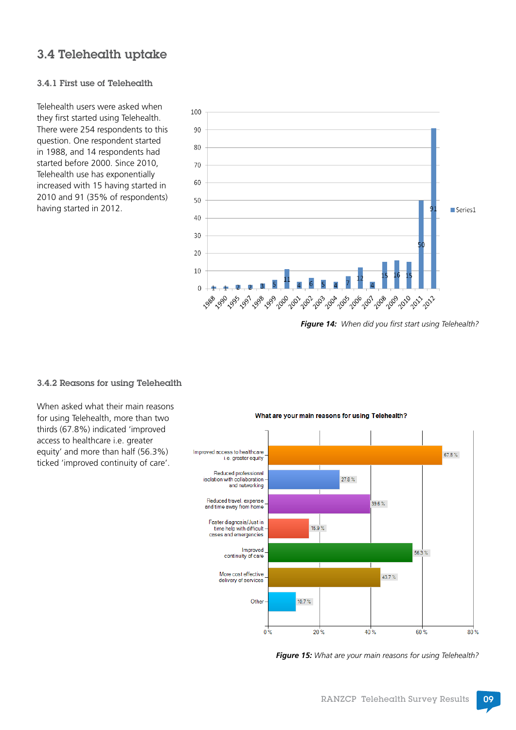#### <span id="page-10-0"></span>3.4 Telehealth uptake

#### 3.4.1 First use of Telehealth

Telehealth users were asked when they first started using Telehealth. There were 254 respondents to this question. One respondent started in 1988, and 14 respondents had started before 2000. Since 2010, Telehealth use has exponentially increased with 15 having started in 2010 and 91 (35% of respondents) having started in 2012.



*Figure 14: When did you first start using Telehealth?*

#### 3.4.2 Reasons for using Telehealth

When asked what their main reasons for using Telehealth, more than two thirds (67.8%) indicated 'improved access to healthcare i.e. greater equity' and more than half (56.3%) ticked 'improved continuity of care'.



What are your main reasons for using Telehealth?

*Figure 15: What are your main reasons for using Telehealth?*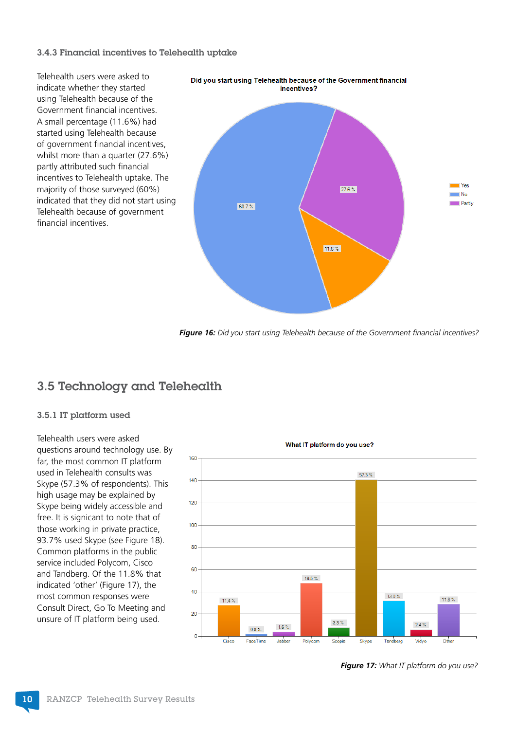#### <span id="page-11-0"></span>3.4.3 Financial incentives to Telehealth uptake

Telehealth users were asked to indicate whether they started using Telehealth because of the Government financial incentives. A small percentage (11.6%) had started using Telehealth because of government financial incentives, whilst more than a quarter (27.6%) partly attributed such financial incentives to Telehealth uptake. The majority of those surveyed (60%) indicated that they did not start using Telehealth because of government financial incentives.



*Figure 16: Did you start using Telehealth because of the Government financial incentives?*

#### 3.5 Technology and Telehealth

#### 3.5.1 IT platform used

Telehealth users were asked questions around technology use. By far, the most common IT platform used in Telehealth consults was Skype (57.3% of respondents). This high usage may be explained by Skype being widely accessible and free. It is signicant to note that of those working in private practice, 93.7% used Skype (see Figure 18). Common platforms in the public service included Polycom, Cisco and Tandberg. Of the 11.8% that indicated 'other' (Figure 17), the most common responses were Consult Direct, Go To Meeting and unsure of IT platform being used.



*Figure 17: What IT platform do you use?*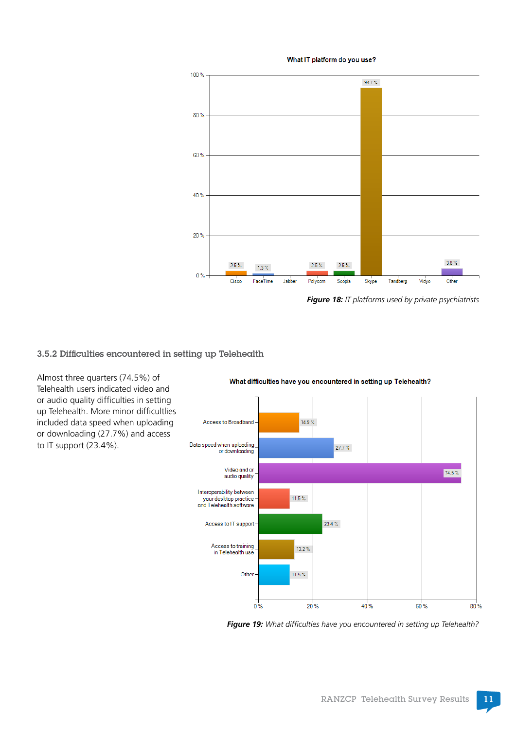<span id="page-12-0"></span>

What IT platform do you use?

*Figure 18: IT platforms used by private psychiatrists*

#### 3.5.2 Difficulties encountered in setting up Telehealth

Almost three quarters (74.5%) of Telehealth users indicated video and or audio quality difficulties in setting up Telehealth. More minor difficultlies included data speed when uploading or downloading (27.7%) and access to IT support (23.4%).

Access to Broadband  $14.9%$ Data speed when uploading  $27.7 \%$ or downloading Video and or 74.5% audio quality Interoperability between your desktop practice<br>and Telehealth software  $11.5\,\%$  $23.4 \%$ Access to IT support-Access to training  $13.2%$ in Telehealth use Other  $11.5\%$  $0\%$ 20% 40% 60%  $80%$ 

What difficulties have you encountered in setting up Telehealth?

*Figure 19: What difficulties have you encountered in setting up Telehealth?*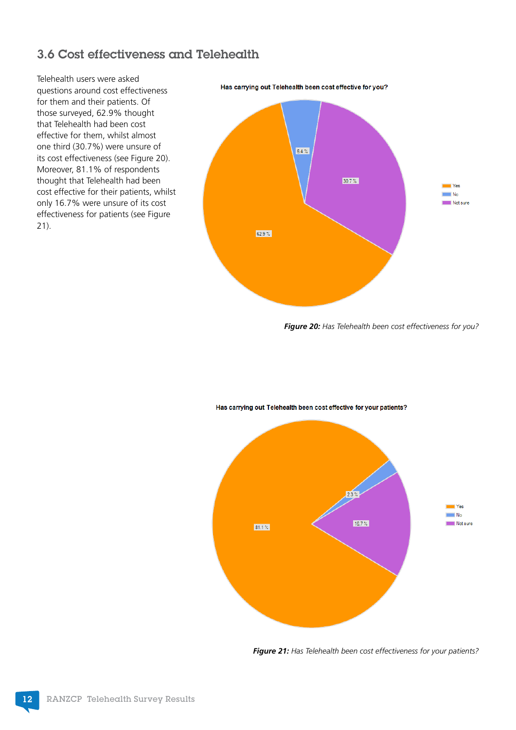#### <span id="page-13-0"></span>3.6 Cost effectiveness and Telehealth

Telehealth users were asked questions around cost effectiveness for them and their patients. Of those surveyed, 62.9% thought that Telehealth had been cost effective for them, whilst almost one third (30.7%) were unsure of its cost effectiveness (see Figure 20). Moreover, 81.1% of respondents thought that Telehealth had been cost effective for their patients, whilst only 16.7% were unsure of its cost effectiveness for patients (see Figure 21).

6.4%  $30.7%$  $\blacksquare$  Yes  $\blacksquare$  No Not sure 62.9%

Has carrying out Telehealth been cost effective for you?

*Figure 20: Has Telehealth been cost effectiveness for you?*



#### Has carrying out Telehealth been cost effective for your patients?

*Figure 21: Has Telehealth been cost effectiveness for your patients?*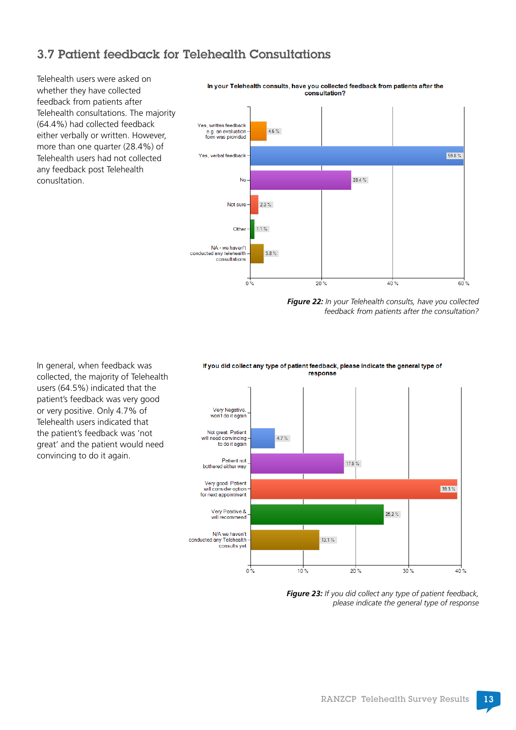#### <span id="page-14-0"></span>3.7 Patient feedback for Telehealth Consultations

Telehealth users were asked on whether they have collected feedback from patients after Telehealth consultations. The majority (64.4%) had collected feedback either verbally or written. However, more than one quarter (28.4%) of Telehealth users had not collected any feedback post Telehealth conusltation.



In your Telehealth consults, have you collected feedback from patients after the consultation?

> *Figure 22: In your Telehealth consults, have you collected feedback from patients after the consultation?*

In general, when feedback was collected, the majority of Telehealth users (64.5%) indicated that the patient's feedback was very good or very positive. Only 4.7% of Telehealth users indicated that the patient's feedback was 'not great' and the patient would need convincing to do it again.





*Figure 23: If you did collect any type of patient feedback, please indicate the general type of response*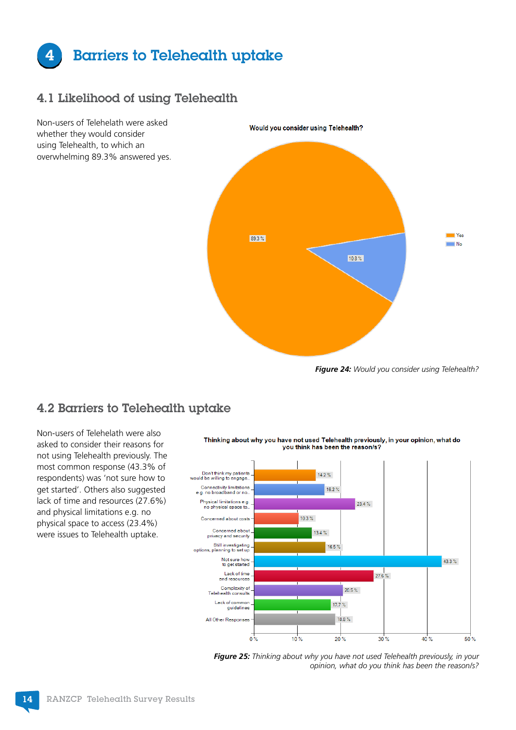<span id="page-15-0"></span>

#### 4.1 Likelihood of using Telehealth



*Figure 24: Would you consider using Telehealth?*

#### 4.2 Barriers to Telehealth uptake

Non-users of Telehelath were also asked to consider their reasons for not using Telehealth previously. The most common response (43.3% of respondents) was 'not sure how to get started'. Others also suggested lack of time and resources (27.6%) and physical limitations e.g. no physical space to access (23.4%) were issues to Telehealth uptake.



*Figure 25: Thinking about why you have not used Telehealth previously, in your opinion, what do you think has been the reason/s?*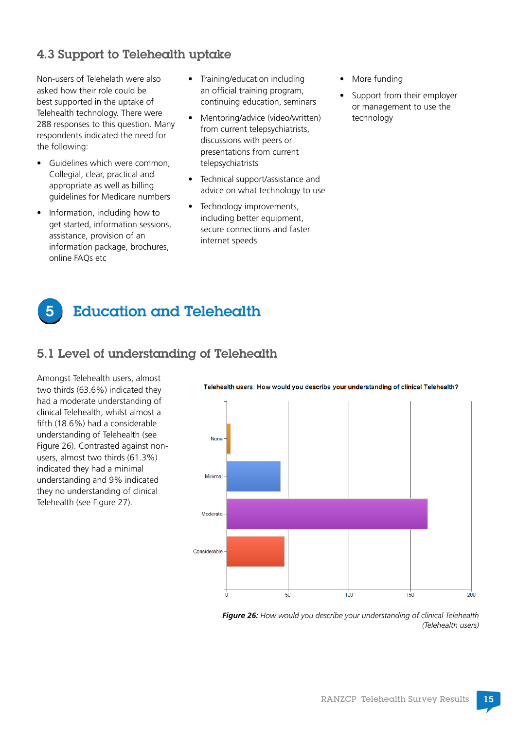#### <span id="page-16-0"></span>4.3 Support to Telehealth uptake

Non-users of Telehelath were also asked how their role could be best supported in the uptake of Telehealth technology. There were 288 responses to this question. Many respondents indicated the need for the following:

- Guidelines which were common, Collegial, clear, practical and appropriate as well as billing guidelines for Medicare numbers
- Information, including how to get started, information sessions, assistance, provision of an information package, brochures, online FAQs etc
- Training/education including an official training program, continuing education, seminars
- Mentoring/advice (video/written) from current telepsychiatrists, discussions with peers or presentations from current telepsychiatrists
- Technical support/assistance and advice on what technology to use
- Technology improvements, including better equipment, secure connections and faster internet speeds
- More funding
- Support from their employer or management to use the technology

### 5 Education and Telehealth

#### 5.1 Level of understanding of Telehealth

Amongst Telehealth users, almost two thirds (63.6%) indicated they had a moderate understanding of clinical Telehealth, whilst almost a fifth (18.6%) had a considerable understanding of Telehealth (see Figure 26). Contrasted against nonusers, almost two thirds (61.3%) indicated they had a minimal understanding and 9% indicated they no understanding of clinical Telehealth (see Figure 27).



Telehealth users: How would you describe your understanding of clinical Telehealth?

*Figure 26: How would you describe your understanding of clinical Telehealth (Telehealth users)*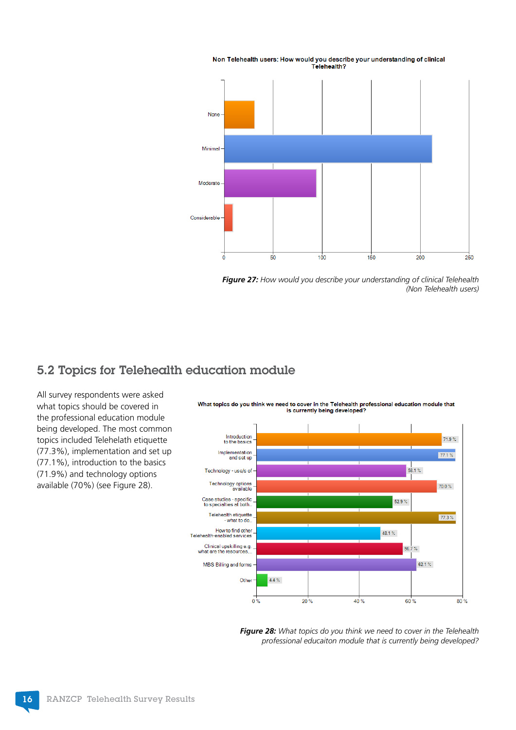<span id="page-17-0"></span>

Non Telehealth users: How would you describe your understanding of clinical Telehealth?

*Figure 27: How would you describe your understanding of clinical Telehealth (Non Telehealth users)*

#### 5.2 Topics for Telehealth education module

All survey respondents were asked what topics should be covered in the professional education module being developed. The most common topics included Telehelath etiquette (77.3%), implementation and set up (77.1%), introduction to the basics (71.9%) and technology options available (70%) (see Figure 28).



What topics do you think we need to cover in the Telehealth professional education module that is currently being developed?

> *Figure 28: What topics do you think we need to cover in the Telehealth professional educaiton module that is currently being developed?*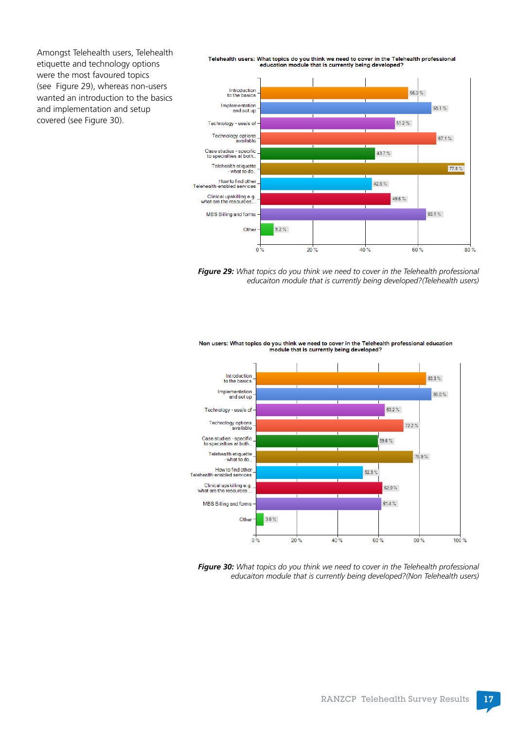Amongst Telehealth users, Telehealth etiquette and technology options were the most favoured topics (see Figure 29), whereas non-users wanted an introduction to the basics and implementation and setup covered (see Figure 30).

Telehealth users: What topics do you think we need to cover in the Telehealth professional education module that is currently being developed?





Non users: What topics do you think we need to cover in the Telehealth professional education module that is currently being developed?



*Figure 30: What topics do you think we need to cover in the Telehealth professional educaiton module that is currently being developed?(Non Telehealth users)*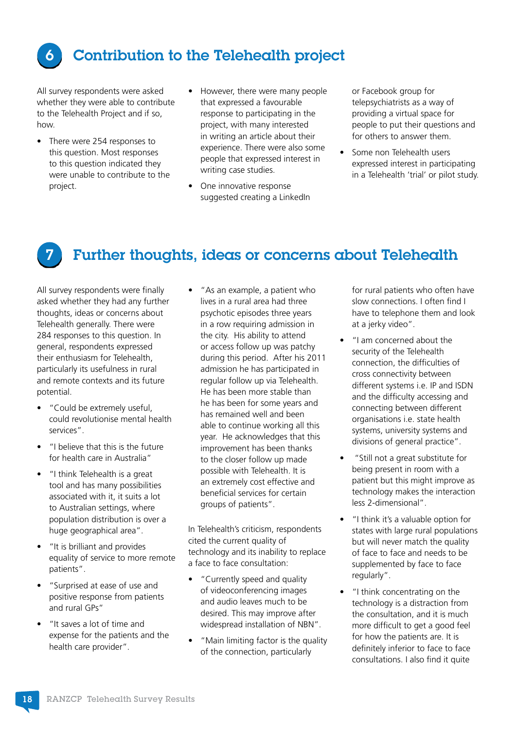<span id="page-19-0"></span>

### 6 Contribution to the Telehealth project

All survey respondents were asked whether they were able to contribute to the Telehealth Project and if so, how.

- There were 254 responses to this question. Most responses to this question indicated they were unable to contribute to the project.
- However, there were many people that expressed a favourable response to participating in the project, with many interested in writing an article about their experience. There were also some people that expressed interest in writing case studies.
- One innovative response suggested creating a LinkedIn

or Facebook group for telepsychiatrists as a way of providing a virtual space for people to put their questions and for others to answer them.

• Some non Telehealth users expressed interest in participating in a Telehealth 'trial' or pilot study.



#### Further thoughts, ideas or concerns about Telehealth

All survey respondents were finally asked whether they had any further thoughts, ideas or concerns about Telehealth generally. There were 284 responses to this question. In general, respondents expressed their enthusiasm for Telehealth, particularly its usefulness in rural and remote contexts and its future potential.

- "Could be extremely useful, could revolutionise mental health services".
- "I believe that this is the future for health care in Australia"
- "I think Telehealth is a great tool and has many possibilities associated with it, it suits a lot to Australian settings, where population distribution is over a huge geographical area".
- "It is brilliant and provides equality of service to more remote patients".
- "Surprised at ease of use and positive response from patients and rural GPs"
- "It saves a lot of time and expense for the patients and the health care provider".

• "As an example, a patient who lives in a rural area had three psychotic episodes three years in a row requiring admission in the city. His ability to attend or access follow up was patchy during this period. After his 2011 admission he has participated in regular follow up via Telehealth. He has been more stable than he has been for some years and has remained well and been able to continue working all this year. He acknowledges that this improvement has been thanks to the closer follow up made possible with Telehealth. It is an extremely cost effective and beneficial services for certain groups of patients".

In Telehealth's criticism, respondents cited the current quality of technology and its inability to replace a face to face consultation:

- "Currently speed and quality of videoconferencing images and audio leaves much to be desired. This may improve after widespread installation of NBN".
- "Main limiting factor is the quality of the connection, particularly

for rural patients who often have slow connections. I often find I have to telephone them and look at a jerky video".

- "I am concerned about the security of the Telehealth connection, the difficulties of cross connectivity between different systems i.e. IP and ISDN and the difficulty accessing and connecting between different organisations i.e. state health systems, university systems and divisions of general practice".
- "Still not a great substitute for being present in room with a patient but this might improve as technology makes the interaction less 2-dimensional".
- "I think it's a valuable option for states with large rural populations but will never match the quality of face to face and needs to be supplemented by face to face regularly".
- "I think concentrating on the technology is a distraction from the consultation, and it is much more difficult to get a good feel for how the patients are. It is definitely inferior to face to face consultations. I also find it quite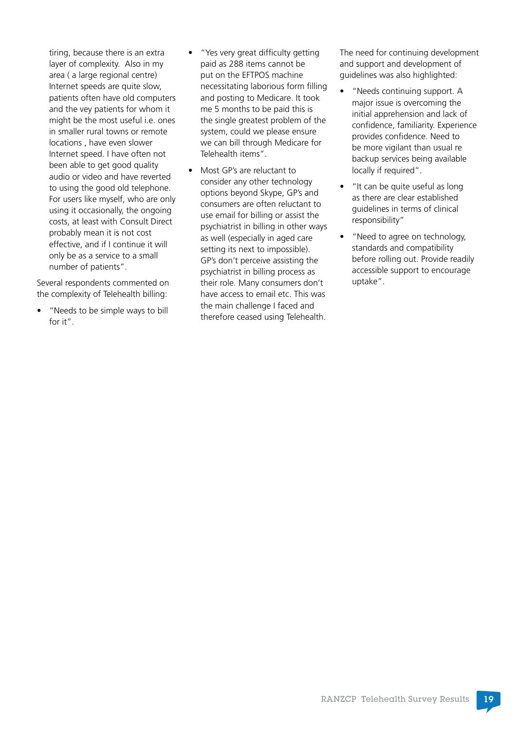tiring, because there is an extra layer of complexity. Also in my area ( a large regional centre) Internet speeds are quite slow, patients often have old computers and the vey patients for whom it might be the most useful i.e. ones in smaller rural towns or remote locations , have even slower Internet speed. I have often not been able to get good quality audio or video and have reverted to using the good old telephone. For users like myself, who are only using it occasionally, the ongoing costs, at least with Consult Direct probably mean it is not cost effective, and if I continue it will only be as a service to a small number of patients".

Several respondents commented on the complexity of Telehealth billing:

• "Needs to be simple ways to bill for it".

- "Yes very great difficulty getting paid as 288 items cannot be put on the EFTPOS machine necessitating laborious form filling and posting to Medicare. It took me 5 months to be paid this is the single greatest problem of the system, could we please ensure we can bill through Medicare for Telehealth items".
- Most GP's are reluctant to consider any other technology options beyond Skype, GP's and consumers are often reluctant to use email for billing or assist the psychiatrist in billing in other ways as well (especially in aged care setting its next to impossible). GP's don't perceive assisting the psychiatrist in billing process as their role. Many consumers don't have access to email etc. This was the main challenge I faced and therefore ceased using Telehealth.

The need for continuing development and support and development of guidelines was also highlighted:

- "Needs continuing support. A major issue is overcoming the initial apprehension and lack of confidence, familiarity. Experience provides confidence. Need to be more vigilant than usual re backup services being available locally if required".
- "It can be quite useful as long as there are clear established guidelines in terms of clinical responsibility"
- "Need to agree on technology, standards and compatibility before rolling out. Provide readily accessible support to encourage uptake".